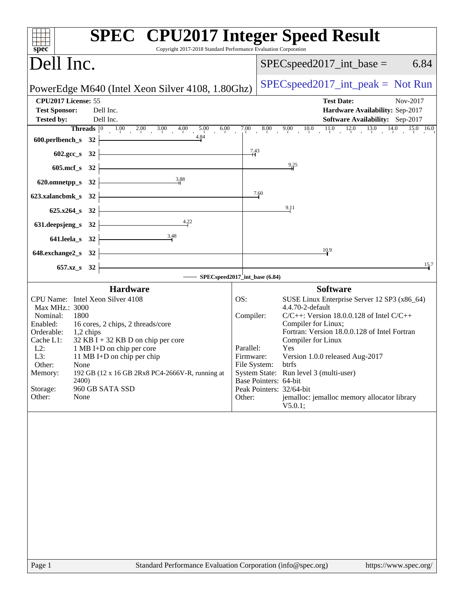| $spec^*$                                                                                                                                                                                                        | <b>SPEC<sup>®</sup></b> CPU2017 Integer Speed Result<br>Copyright 2017-2018 Standard Performance Evaluation Corporation                                                                                    |                                                                      |                       |                                                                                                                                                                                                                                                                                                                                                                                                   |
|-----------------------------------------------------------------------------------------------------------------------------------------------------------------------------------------------------------------|------------------------------------------------------------------------------------------------------------------------------------------------------------------------------------------------------------|----------------------------------------------------------------------|-----------------------|---------------------------------------------------------------------------------------------------------------------------------------------------------------------------------------------------------------------------------------------------------------------------------------------------------------------------------------------------------------------------------------------------|
| Dell Inc.                                                                                                                                                                                                       |                                                                                                                                                                                                            |                                                                      |                       | $SPEC speed2017\_int\_base =$<br>6.84                                                                                                                                                                                                                                                                                                                                                             |
|                                                                                                                                                                                                                 | PowerEdge M640 (Intel Xeon Silver 4108, 1.80Ghz)                                                                                                                                                           |                                                                      |                       | $SPEC speed2017\_int\_peak = Not Run$                                                                                                                                                                                                                                                                                                                                                             |
| CPU2017 License: 55<br><b>Test Sponsor:</b>                                                                                                                                                                     | Dell Inc.                                                                                                                                                                                                  |                                                                      |                       | <b>Test Date:</b><br>Nov-2017<br>Hardware Availability: Sep-2017                                                                                                                                                                                                                                                                                                                                  |
| <b>Tested by:</b>                                                                                                                                                                                               | Dell Inc.<br><b>Threads</b> $\begin{bmatrix} 0 & 1.00 & 2.00 \end{bmatrix}$<br>3.00<br>4.00<br>5.00<br>6.00<br>$\sim 10^7$<br>4.84                                                                         | 7.00<br>$\sim 10^7$                                                  | 8.00                  | Software Availability: Sep-2017<br>9.00 10.0 11.0 12.0 13.0<br>$14.0$ $15.0$ $16.0$                                                                                                                                                                                                                                                                                                               |
| 600.perlbench_s<br>602.gcc_s                                                                                                                                                                                    | 32<br>32                                                                                                                                                                                                   | 7.43                                                                 |                       |                                                                                                                                                                                                                                                                                                                                                                                                   |
| $605$ .mcf_s<br>32                                                                                                                                                                                              |                                                                                                                                                                                                            |                                                                      |                       | $\frac{9.25}{4}$                                                                                                                                                                                                                                                                                                                                                                                  |
| 620.omnetpp_s                                                                                                                                                                                                   | 3.88<br>32                                                                                                                                                                                                 |                                                                      |                       |                                                                                                                                                                                                                                                                                                                                                                                                   |
| 623.xalancbmk_s                                                                                                                                                                                                 | 32                                                                                                                                                                                                         |                                                                      | 7.60                  | 9.11                                                                                                                                                                                                                                                                                                                                                                                              |
| $625.x264_s$<br>32<br>631.deepsjeng_s                                                                                                                                                                           | 4.22<br>32                                                                                                                                                                                                 |                                                                      |                       |                                                                                                                                                                                                                                                                                                                                                                                                   |
| 641.leela_s 32                                                                                                                                                                                                  | 3.48                                                                                                                                                                                                       |                                                                      |                       |                                                                                                                                                                                                                                                                                                                                                                                                   |
| 648.exchange2_s                                                                                                                                                                                                 | 32                                                                                                                                                                                                         |                                                                      |                       | 10.9                                                                                                                                                                                                                                                                                                                                                                                              |
| 657.xz_s 32                                                                                                                                                                                                     | SPECspeed2017_int_base (6.84)                                                                                                                                                                              |                                                                      |                       | 15.7                                                                                                                                                                                                                                                                                                                                                                                              |
|                                                                                                                                                                                                                 | <b>Hardware</b>                                                                                                                                                                                            |                                                                      |                       | <b>Software</b>                                                                                                                                                                                                                                                                                                                                                                                   |
| CPU Name: Intel Xeon Silver 4108<br>Max MHz.: 3000<br>Nominal:<br>1800<br>Enabled:<br>Orderable:<br>1,2 chips<br>Cache L1:<br>$L2$ :<br>L3:<br>Other:<br>None<br>Memory:<br>2400)<br>Storage:<br>Other:<br>None | 16 cores, 2 chips, 2 threads/core<br>$32$ KB I + 32 KB D on chip per core<br>1 MB I+D on chip per core<br>11 MB I+D on chip per chip<br>192 GB (12 x 16 GB 2Rx8 PC4-2666V-R, running at<br>960 GB SATA SSD | OS:<br>Compiler:<br>Parallel:<br>Firmware:<br>File System:<br>Other: | Base Pointers: 64-bit | SUSE Linux Enterprise Server 12 SP3 (x86_64)<br>4.4.70-2-default<br>$C/C++$ : Version 18.0.0.128 of Intel $C/C++$<br>Compiler for Linux;<br>Fortran: Version 18.0.0.128 of Intel Fortran<br>Compiler for Linux<br>Yes<br>Version 1.0.0 released Aug-2017<br>btrfs<br>System State: Run level 3 (multi-user)<br>Peak Pointers: 32/64-bit<br>jemalloc: jemalloc memory allocator library<br>V5.0.1; |
|                                                                                                                                                                                                                 |                                                                                                                                                                                                            |                                                                      |                       |                                                                                                                                                                                                                                                                                                                                                                                                   |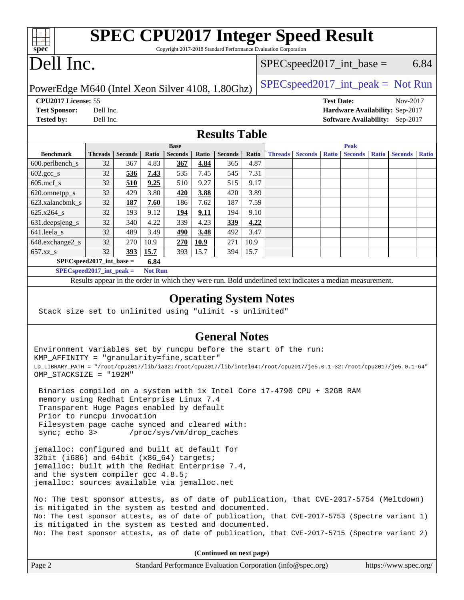|                      | <b>SPEC CPU2017 Integer Speed Result</b>                              |
|----------------------|-----------------------------------------------------------------------|
|                      |                                                                       |
| ${\rm spec^{\circ}}$ | Copyright 2017-2018 Standard Performance Evaluation Corporation       |
|                      | $\sum_{\alpha}$ 11 La $\alpha$<br>$RDC_{\text{max}} = 10017$ interest |

# ell Inc.

# $SPEC speed2017\_int\_base =$  6.84

PowerEdge M640 (Intel Xeon Silver 4108, 1.80Ghz)  $\left| \frac{\text{SPECspeed2017\_int\_peak}}{\text{SPECspeed2017\_int\_peak}} \right|$ 

**[CPU2017 License:](http://www.spec.org/auto/cpu2017/Docs/result-fields.html#CPU2017License)** 55 **[Test Date:](http://www.spec.org/auto/cpu2017/Docs/result-fields.html#TestDate)** Nov-2017

**[Test Sponsor:](http://www.spec.org/auto/cpu2017/Docs/result-fields.html#TestSponsor)** Dell Inc. **[Hardware Availability:](http://www.spec.org/auto/cpu2017/Docs/result-fields.html#HardwareAvailability)** Sep-2017 **[Tested by:](http://www.spec.org/auto/cpu2017/Docs/result-fields.html#Testedby)** Dell Inc. **[Software Availability:](http://www.spec.org/auto/cpu2017/Docs/result-fields.html#SoftwareAvailability)** Sep-2017

#### **[Results Table](http://www.spec.org/auto/cpu2017/Docs/result-fields.html#ResultsTable)**

|                                      | <b>Base</b>    |                |       |                |       | <b>Peak</b>    |       |                |                |              |                |              |                |              |
|--------------------------------------|----------------|----------------|-------|----------------|-------|----------------|-------|----------------|----------------|--------------|----------------|--------------|----------------|--------------|
| <b>Benchmark</b>                     | <b>Threads</b> | <b>Seconds</b> | Ratio | <b>Seconds</b> | Ratio | <b>Seconds</b> | Ratio | <b>Threads</b> | <b>Seconds</b> | <b>Ratio</b> | <b>Seconds</b> | <b>Ratio</b> | <b>Seconds</b> | <b>Ratio</b> |
| $600.$ perlbench_s                   | 32             | 367            | 4.83  | 367            | 4.84  | 365            | 4.87  |                |                |              |                |              |                |              |
| $602.\text{gcc}\_\text{s}$           | 32             | 536            | 7.43  | 535            | 7.45  | 545            | 7.31  |                |                |              |                |              |                |              |
| $605$ .mcf s                         | 32             | 510            | 9.25  | 510            | 9.27  | 515            | 9.17  |                |                |              |                |              |                |              |
| 620.omnetpp_s                        | 32             | 429            | 3.80  | 420            | 3.88  | 420            | 3.89  |                |                |              |                |              |                |              |
| 623.xalancbmk s                      | 32             | 187            | 7.60  | 186            | 7.62  | 187            | 7.59  |                |                |              |                |              |                |              |
| 625.x264 s                           | 32             | 193            | 9.12  | <u>194</u>     | 9.11  | 194            | 9.10  |                |                |              |                |              |                |              |
| 631.deepsjeng_s                      | 32             | 340            | 4.22  | 339            | 4.23  | 339            | 4.22  |                |                |              |                |              |                |              |
| $641.$ leela_s                       | 32             | 489            | 3.49  | 490            | 3.48  | 492            | 3.47  |                |                |              |                |              |                |              |
| 648.exchange2_s                      | 32             | 270            | 10.9  | 270            | 10.9  | 271            | 10.9  |                |                |              |                |              |                |              |
| $657.xz$ s                           | 32             | 393            | 15.7  | 393            | 15.7  | 394            | 15.7  |                |                |              |                |              |                |              |
| $SPECspeed2017\_int\_base =$<br>6.84 |                |                |       |                |       |                |       |                |                |              |                |              |                |              |

**[SPECspeed2017\\_int\\_peak =](http://www.spec.org/auto/cpu2017/Docs/result-fields.html#SPECspeed2017intpeak) Not Run**

Results appear in the [order in which they were run.](http://www.spec.org/auto/cpu2017/Docs/result-fields.html#RunOrder) Bold underlined text [indicates a median measurement.](http://www.spec.org/auto/cpu2017/Docs/result-fields.html#Median)

#### **[Operating System Notes](http://www.spec.org/auto/cpu2017/Docs/result-fields.html#OperatingSystemNotes)**

Stack size set to unlimited using "ulimit -s unlimited"

### **[General Notes](http://www.spec.org/auto/cpu2017/Docs/result-fields.html#GeneralNotes)**

Environment variables set by runcpu before the start of the run: KMP AFFINITY = "granularity=fine, scatter" LD\_LIBRARY\_PATH = "/root/cpu2017/lib/ia32:/root/cpu2017/lib/intel64:/root/cpu2017/je5.0.1-32:/root/cpu2017/je5.0.1-64" OMP\_STACKSIZE = "192M"

 Binaries compiled on a system with 1x Intel Core i7-4790 CPU + 32GB RAM memory using Redhat Enterprise Linux 7.4 Transparent Huge Pages enabled by default Prior to runcpu invocation Filesystem page cache synced and cleared with: sync; echo 3> /proc/sys/vm/drop\_caches

jemalloc: configured and built at default for 32bit (i686) and  $64$ bit (x86  $64$ ) targets; jemalloc: built with the RedHat Enterprise 7.4, and the system compiler gcc 4.8.5; jemalloc: sources available via jemalloc.net

No: The test sponsor attests, as of date of publication, that CVE-2017-5754 (Meltdown) is mitigated in the system as tested and documented. No: The test sponsor attests, as of date of publication, that CVE-2017-5753 (Spectre variant 1) is mitigated in the system as tested and documented. No: The test sponsor attests, as of date of publication, that CVE-2017-5715 (Spectre variant 2)

**(Continued on next page)**

| Page 2 | Standard Performance Evaluation Corporation (info@spec.org) | https://www.spec.org/ |
|--------|-------------------------------------------------------------|-----------------------|
|--------|-------------------------------------------------------------|-----------------------|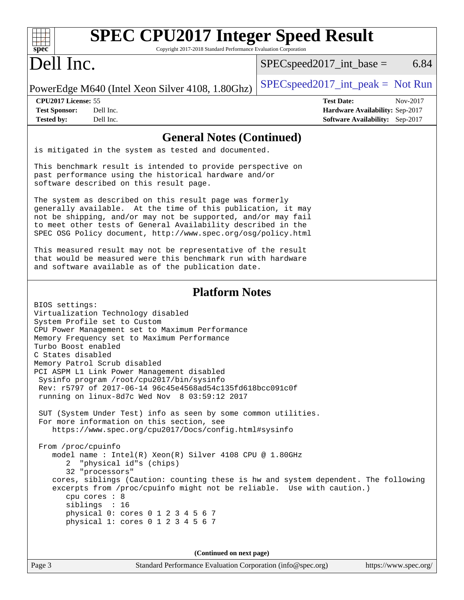| <b>SPEC CPU2017 Integer Speed Result</b><br>spec <sup>®</sup><br>Copyright 2017-2018 Standard Performance Evaluation Corporation                                                                                                                                                                                                                                                                                                                                            |                                                                                                     |
|-----------------------------------------------------------------------------------------------------------------------------------------------------------------------------------------------------------------------------------------------------------------------------------------------------------------------------------------------------------------------------------------------------------------------------------------------------------------------------|-----------------------------------------------------------------------------------------------------|
| Dell Inc.                                                                                                                                                                                                                                                                                                                                                                                                                                                                   | 6.84<br>$SPEC speed2017\_int\_base =$                                                               |
| PowerEdge M640 (Intel Xeon Silver 4108, 1.80Ghz)                                                                                                                                                                                                                                                                                                                                                                                                                            | $SPEC speed2017\_int\_peak = Not Run$                                                               |
| CPU2017 License: 55<br>Dell Inc.<br><b>Test Sponsor:</b><br>Dell Inc.<br><b>Tested by:</b>                                                                                                                                                                                                                                                                                                                                                                                  | <b>Test Date:</b><br>Nov-2017<br>Hardware Availability: Sep-2017<br>Software Availability: Sep-2017 |
| <b>General Notes (Continued)</b><br>is mitigated in the system as tested and documented.                                                                                                                                                                                                                                                                                                                                                                                    |                                                                                                     |
| This benchmark result is intended to provide perspective on<br>past performance using the historical hardware and/or<br>software described on this result page.                                                                                                                                                                                                                                                                                                             |                                                                                                     |
| The system as described on this result page was formerly<br>generally available. At the time of this publication, it may<br>not be shipping, and/or may not be supported, and/or may fail<br>to meet other tests of General Availability described in the<br>SPEC OSG Policy document, http://www.spec.org/osg/policy.html                                                                                                                                                  |                                                                                                     |
| This measured result may not be representative of the result<br>that would be measured were this benchmark run with hardware<br>and software available as of the publication date.                                                                                                                                                                                                                                                                                          |                                                                                                     |
| <b>Platform Notes</b>                                                                                                                                                                                                                                                                                                                                                                                                                                                       |                                                                                                     |
| BIOS settings:<br>Virtualization Technology disabled<br>System Profile set to Custom<br>CPU Power Management set to Maximum Performance<br>Memory Frequency set to Maximum Performance<br>Turbo Boost enabled<br>C States disabled<br>Memory Patrol Scrub disabled<br>PCI ASPM L1 Link Power Management disabled<br>Sysinfo program /root/cpu2017/bin/sysinfo<br>Rev: r5797 of 2017-06-14 96c45e4568ad54c135fd618bcc091c0f<br>running on linux-8d7c Wed Nov 8 03:59:12 2017 |                                                                                                     |
| SUT (System Under Test) info as seen by some common utilities.<br>For more information on this section, see<br>https://www.spec.org/cpu2017/Docs/config.html#sysinfo                                                                                                                                                                                                                                                                                                        |                                                                                                     |
| From /proc/cpuinfo<br>model name: $Intel(R)$ Xeon(R) Silver 4108 CPU @ 1.80GHz<br>2 "physical id"s (chips)<br>32 "processors"<br>cores, siblings (Caution: counting these is hw and system dependent. The following<br>excerpts from /proc/cpuinfo might not be reliable. Use with caution.)<br>cpu cores : 8<br>siblings : 16<br>physical 0: cores 0 1 2 3 4 5 6 7<br>physical 1: cores 0 1 2 3 4 5 6 7                                                                    |                                                                                                     |
| (Continued on next page)                                                                                                                                                                                                                                                                                                                                                                                                                                                    |                                                                                                     |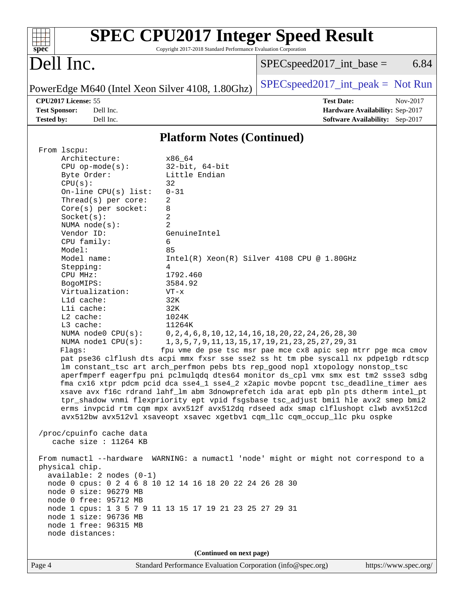| $spec^*$                                                                                                                                                                                                                                             |                                                                                                                                                                                                                                                                                                                                                                                           | <b>SPEC CPU2017 Integer Speed Result</b><br>Copyright 2017-2018 Standard Performance Evaluation Corporation                                                                                                                                                                                                                                                                                                                                                                                                                                                                                                                                                                       |                               |                                                                                                                                                                                                                                                                                                                                                                                                                                                                                                                                                                                                                                                                                               |  |
|------------------------------------------------------------------------------------------------------------------------------------------------------------------------------------------------------------------------------------------------------|-------------------------------------------------------------------------------------------------------------------------------------------------------------------------------------------------------------------------------------------------------------------------------------------------------------------------------------------------------------------------------------------|-----------------------------------------------------------------------------------------------------------------------------------------------------------------------------------------------------------------------------------------------------------------------------------------------------------------------------------------------------------------------------------------------------------------------------------------------------------------------------------------------------------------------------------------------------------------------------------------------------------------------------------------------------------------------------------|-------------------------------|-----------------------------------------------------------------------------------------------------------------------------------------------------------------------------------------------------------------------------------------------------------------------------------------------------------------------------------------------------------------------------------------------------------------------------------------------------------------------------------------------------------------------------------------------------------------------------------------------------------------------------------------------------------------------------------------------|--|
| Dell Inc.                                                                                                                                                                                                                                            |                                                                                                                                                                                                                                                                                                                                                                                           |                                                                                                                                                                                                                                                                                                                                                                                                                                                                                                                                                                                                                                                                                   | $SPEC speed2017\_int\_base =$ | 6.84                                                                                                                                                                                                                                                                                                                                                                                                                                                                                                                                                                                                                                                                                          |  |
|                                                                                                                                                                                                                                                      |                                                                                                                                                                                                                                                                                                                                                                                           | PowerEdge M640 (Intel Xeon Silver 4108, 1.80Ghz)                                                                                                                                                                                                                                                                                                                                                                                                                                                                                                                                                                                                                                  |                               | $SPEC speed2017\_int\_peak = Not Run$                                                                                                                                                                                                                                                                                                                                                                                                                                                                                                                                                                                                                                                         |  |
| CPU2017 License: 55<br><b>Test Sponsor:</b><br><b>Tested by:</b>                                                                                                                                                                                     | Dell Inc.<br>Dell Inc.                                                                                                                                                                                                                                                                                                                                                                    |                                                                                                                                                                                                                                                                                                                                                                                                                                                                                                                                                                                                                                                                                   |                               | <b>Test Date:</b><br>Nov-2017<br>Hardware Availability: Sep-2017<br>Software Availability: Sep-2017                                                                                                                                                                                                                                                                                                                                                                                                                                                                                                                                                                                           |  |
|                                                                                                                                                                                                                                                      |                                                                                                                                                                                                                                                                                                                                                                                           | <b>Platform Notes (Continued)</b>                                                                                                                                                                                                                                                                                                                                                                                                                                                                                                                                                                                                                                                 |                               |                                                                                                                                                                                                                                                                                                                                                                                                                                                                                                                                                                                                                                                                                               |  |
| From lscpu:<br>Byte Order:<br>CPU(s):<br>Socket(s):<br>Vendor ID:<br>CPU family:<br>Model:<br>Model name:<br>Stepping:<br>CPU MHz:<br>BogoMIPS:<br>L1d cache:<br>Lli cache:<br>L2 cache:<br>L3 cache:<br>Flags:<br>physical chip.<br>node distances: | Architecture:<br>$CPU$ op-mode( $s$ ):<br>On-line CPU(s) list:<br>Thread(s) per core:<br>$Core(s)$ per socket:<br>NUMA node(s):<br>Virtualization:<br>NUMA node0 CPU(s):<br>NUMA $node1$ $CPU(s):$<br>/proc/cpuinfo cache data<br>cache size : 11264 KB<br>$available: 2 nodes (0-1)$<br>node 0 size: 96279 MB<br>node 0 free: 95712 MB<br>node 1 size: 96736 MB<br>node 1 free: 96315 MB | x86_64<br>$32$ -bit, $64$ -bit<br>Little Endian<br>32<br>$0 - 31$<br>2<br>8<br>$\overline{c}$<br>$\overline{2}$<br>GenuineIntel<br>6<br>85<br>$Intel(R) Xeon(R) Silver 4108 CPU @ 1.80GHz$<br>4<br>1792.460<br>3584.92<br>$VT - x$<br>32K<br>32K<br>1024K<br>11264K<br>0, 2, 4, 6, 8, 10, 12, 14, 16, 18, 20, 22, 24, 26, 28, 30<br>1, 3, 5, 7, 9, 11, 13, 15, 17, 19, 21, 23, 25, 27, 29, 31<br>lm constant_tsc art arch_perfmon pebs bts rep_good nopl xtopology nonstop_tsc<br>avx512bw avx512vl xsaveopt xsavec xgetbvl cqm_llc cqm_occup_llc pku ospke<br>node 0 cpus: 0 2 4 6 8 10 12 14 16 18 20 22 24 26 28 30<br>node 1 cpus: 1 3 5 7 9 11 13 15 17 19 21 23 25 27 29 31 |                               | fpu vme de pse tsc msr pae mce cx8 apic sep mtrr pge mca cmov<br>pat pse36 clflush dts acpi mmx fxsr sse sse2 ss ht tm pbe syscall nx pdpelgb rdtscp<br>aperfmperf eagerfpu pni pclmulqdq dtes64 monitor ds_cpl vmx smx est tm2 ssse3 sdbg<br>fma cx16 xtpr pdcm pcid dca sse4_1 sse4_2 x2apic movbe popcnt tsc_deadline_timer aes<br>xsave avx f16c rdrand lahf_lm abm 3dnowprefetch ida arat epb pln pts dtherm intel_pt<br>tpr_shadow vnmi flexpriority ept vpid fsgsbase tsc_adjust bmil hle avx2 smep bmi2<br>erms invpcid rtm cqm mpx avx512f avx512dq rdseed adx smap clflushopt clwb avx512cd<br>From numactl --hardware WARNING: a numactl 'node' might or might not correspond to a |  |
| Page 4                                                                                                                                                                                                                                               |                                                                                                                                                                                                                                                                                                                                                                                           | (Continued on next page)<br>Standard Performance Evaluation Corporation (info@spec.org)                                                                                                                                                                                                                                                                                                                                                                                                                                                                                                                                                                                           |                               | https://www.spec.org/                                                                                                                                                                                                                                                                                                                                                                                                                                                                                                                                                                                                                                                                         |  |
|                                                                                                                                                                                                                                                      |                                                                                                                                                                                                                                                                                                                                                                                           |                                                                                                                                                                                                                                                                                                                                                                                                                                                                                                                                                                                                                                                                                   |                               |                                                                                                                                                                                                                                                                                                                                                                                                                                                                                                                                                                                                                                                                                               |  |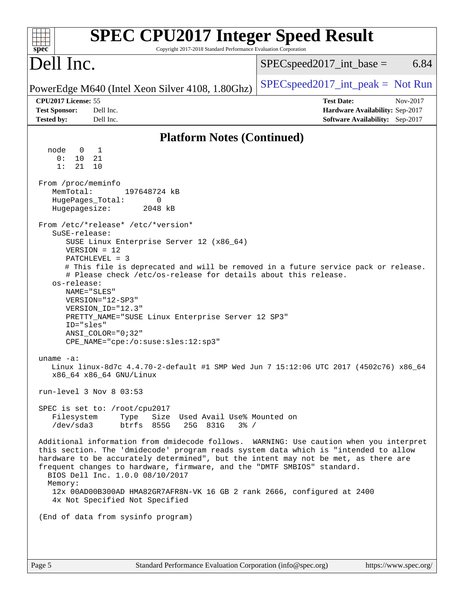| $spec^*$                                                                                     | <b>SPEC CPU2017 Integer Speed Result</b><br>Copyright 2017-2018 Standard Performance Evaluation Corporation                                                                                                                                                                                               |                                                                                                                                                                                                                                                                     |
|----------------------------------------------------------------------------------------------|-----------------------------------------------------------------------------------------------------------------------------------------------------------------------------------------------------------------------------------------------------------------------------------------------------------|---------------------------------------------------------------------------------------------------------------------------------------------------------------------------------------------------------------------------------------------------------------------|
| Dell Inc.                                                                                    |                                                                                                                                                                                                                                                                                                           | 6.84<br>$SPEC speed2017\_int\_base =$                                                                                                                                                                                                                               |
| PowerEdge M640 (Intel Xeon Silver 4108, 1.80Ghz)                                             |                                                                                                                                                                                                                                                                                                           | $SPEC speed2017\_int\_peak = Not Run$                                                                                                                                                                                                                               |
| CPU2017 License: 55<br><b>Test Sponsor:</b><br><b>Tested by:</b>                             | Dell Inc.<br>Dell Inc.                                                                                                                                                                                                                                                                                    | <b>Test Date:</b><br>Nov-2017<br>Hardware Availability: Sep-2017<br>Software Availability: Sep-2017                                                                                                                                                                 |
|                                                                                              | <b>Platform Notes (Continued)</b>                                                                                                                                                                                                                                                                         |                                                                                                                                                                                                                                                                     |
| node<br>$\overline{1}$<br>$\overline{0}$<br>0:<br>10<br>1:<br>21                             | 21<br>10                                                                                                                                                                                                                                                                                                  |                                                                                                                                                                                                                                                                     |
| From /proc/meminfo<br>MemTotal:<br>HugePages_Total:<br>Hugepagesize:                         | 197648724 kB<br>0<br>2048 kB                                                                                                                                                                                                                                                                              |                                                                                                                                                                                                                                                                     |
| SuSE-release:<br>$VERSION = 12$<br>PATCHLEVEL = 3<br>os-release:<br>NAME="SLES"<br>ID="sles" | From /etc/*release* /etc/*version*<br>SUSE Linux Enterprise Server 12 (x86_64)<br># Please check /etc/os-release for details about this release.<br>VERSION="12-SP3"<br>VERSION_ID="12.3"<br>PRETTY_NAME="SUSE Linux Enterprise Server 12 SP3"<br>ANSI COLOR="0;32"<br>CPE_NAME="cpe:/o:suse:sles:12:sp3" | # This file is deprecated and will be removed in a future service pack or release.                                                                                                                                                                                  |
| uname $-a$ :                                                                                 | x86 64 x86 64 GNU/Linux                                                                                                                                                                                                                                                                                   | Linux linux-8d7c 4.4.70-2-default #1 SMP Wed Jun 7 15:12:06 UTC 2017 (4502c76) x86_64                                                                                                                                                                               |
| run-level 3 Nov 8 03:53<br>Filesystem<br>/dev/sda3                                           | SPEC is set to: /root/cpu2017<br>Size Used Avail Use% Mounted on<br>Type<br>btrfs 855G<br>25G 831G<br>$3\frac{6}{9}$ /                                                                                                                                                                                    |                                                                                                                                                                                                                                                                     |
| Memory:                                                                                      | frequent changes to hardware, firmware, and the "DMTF SMBIOS" standard.<br>BIOS Dell Inc. 1.0.0 08/10/2017<br>12x 00AD00B300AD HMA82GR7AFR8N-VK 16 GB 2 rank 2666, configured at 2400                                                                                                                     | Additional information from dmidecode follows. WARNING: Use caution when you interpret<br>this section. The 'dmidecode' program reads system data which is "intended to allow<br>hardware to be accurately determined", but the intent may not be met, as there are |
|                                                                                              | 4x Not Specified Not Specified<br>(End of data from sysinfo program)                                                                                                                                                                                                                                      |                                                                                                                                                                                                                                                                     |
|                                                                                              |                                                                                                                                                                                                                                                                                                           |                                                                                                                                                                                                                                                                     |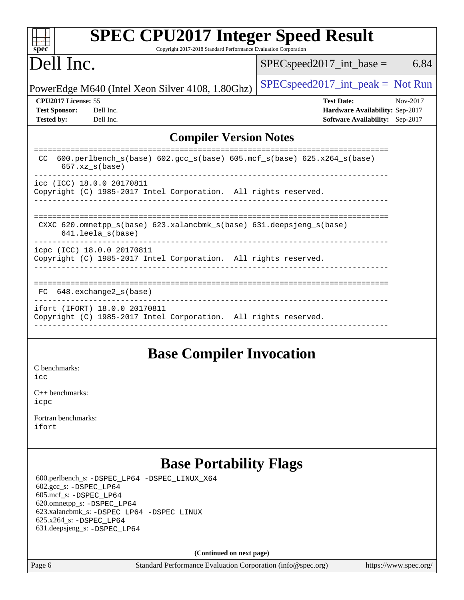| <b>SPEC CPU2017 Integer Speed Result</b>                                                                |                                       |
|---------------------------------------------------------------------------------------------------------|---------------------------------------|
| Copyright 2017-2018 Standard Performance Evaluation Corporation<br>spec <sup>®</sup>                    |                                       |
| Dell Inc.                                                                                               | 6.84<br>$SPEC speed2017\_int\_base =$ |
| PowerEdge M640 (Intel Xeon Silver 4108, 1.80Ghz)                                                        | $SPEC speed2017\_int\_peak = Not Run$ |
| CPU <sub>2017</sub> License: 55                                                                         | <b>Test Date:</b><br>Nov-2017         |
| <b>Test Sponsor:</b><br>Dell Inc.                                                                       | Hardware Availability: Sep-2017       |
| <b>Tested by:</b><br>Dell Inc.                                                                          | Software Availability: Sep-2017       |
| <b>Compiler Version Notes</b>                                                                           |                                       |
| $600. perlbench_s(base) 602. gcc_s(base) 605. mcf_s(base) 625. x264_s(base)$<br>CC.<br>$657.xz_s(base)$ |                                       |
| icc (ICC) 18.0.0 20170811<br>Copyright (C) 1985-2017 Intel Corporation. All rights reserved.            |                                       |
| CXXC 620.omnetpp_s(base) 623.xalancbmk_s(base) 631.deepsjeng_s(base)<br>$641.$ leela $s$ (base)         | =========================             |
| icpc (ICC) 18.0.0 20170811<br>Copyright (C) 1985-2017 Intel Corporation. All rights reserved.           |                                       |
| 648.exchange2 s(base)<br>FC.                                                                            |                                       |
| ifort (IFORT) 18.0.0 20170811<br>Copyright (C) 1985-2017 Intel Corporation. All rights reserved.        |                                       |
|                                                                                                         |                                       |

### **[Base Compiler Invocation](http://www.spec.org/auto/cpu2017/Docs/result-fields.html#BaseCompilerInvocation)**

[C benchmarks](http://www.spec.org/auto/cpu2017/Docs/result-fields.html#Cbenchmarks): [icc](http://www.spec.org/cpu2017/results/res2018q1/cpu2017-20180205-03288.flags.html#user_CCbase_intel_icc_18.0_66fc1ee009f7361af1fbd72ca7dcefbb700085f36577c54f309893dd4ec40d12360134090235512931783d35fd58c0460139e722d5067c5574d8eaf2b3e37e92)

[C++ benchmarks:](http://www.spec.org/auto/cpu2017/Docs/result-fields.html#CXXbenchmarks) [icpc](http://www.spec.org/cpu2017/results/res2018q1/cpu2017-20180205-03288.flags.html#user_CXXbase_intel_icpc_18.0_c510b6838c7f56d33e37e94d029a35b4a7bccf4766a728ee175e80a419847e808290a9b78be685c44ab727ea267ec2f070ec5dc83b407c0218cded6866a35d07)

[Fortran benchmarks](http://www.spec.org/auto/cpu2017/Docs/result-fields.html#Fortranbenchmarks): [ifort](http://www.spec.org/cpu2017/results/res2018q1/cpu2017-20180205-03288.flags.html#user_FCbase_intel_ifort_18.0_8111460550e3ca792625aed983ce982f94888b8b503583aa7ba2b8303487b4d8a21a13e7191a45c5fd58ff318f48f9492884d4413fa793fd88dd292cad7027ca)

### **[Base Portability Flags](http://www.spec.org/auto/cpu2017/Docs/result-fields.html#BasePortabilityFlags)**

 600.perlbench\_s: [-DSPEC\\_LP64](http://www.spec.org/cpu2017/results/res2018q1/cpu2017-20180205-03288.flags.html#b600.perlbench_s_basePORTABILITY_DSPEC_LP64) [-DSPEC\\_LINUX\\_X64](http://www.spec.org/cpu2017/results/res2018q1/cpu2017-20180205-03288.flags.html#b600.perlbench_s_baseCPORTABILITY_DSPEC_LINUX_X64) 602.gcc\_s: [-DSPEC\\_LP64](http://www.spec.org/cpu2017/results/res2018q1/cpu2017-20180205-03288.flags.html#suite_basePORTABILITY602_gcc_s_DSPEC_LP64) 605.mcf\_s: [-DSPEC\\_LP64](http://www.spec.org/cpu2017/results/res2018q1/cpu2017-20180205-03288.flags.html#suite_basePORTABILITY605_mcf_s_DSPEC_LP64) 620.omnetpp\_s: [-DSPEC\\_LP64](http://www.spec.org/cpu2017/results/res2018q1/cpu2017-20180205-03288.flags.html#suite_basePORTABILITY620_omnetpp_s_DSPEC_LP64) 623.xalancbmk\_s: [-DSPEC\\_LP64](http://www.spec.org/cpu2017/results/res2018q1/cpu2017-20180205-03288.flags.html#suite_basePORTABILITY623_xalancbmk_s_DSPEC_LP64) [-DSPEC\\_LINUX](http://www.spec.org/cpu2017/results/res2018q1/cpu2017-20180205-03288.flags.html#b623.xalancbmk_s_baseCXXPORTABILITY_DSPEC_LINUX) 625.x264\_s: [-DSPEC\\_LP64](http://www.spec.org/cpu2017/results/res2018q1/cpu2017-20180205-03288.flags.html#suite_basePORTABILITY625_x264_s_DSPEC_LP64) 631.deepsjeng\_s: [-DSPEC\\_LP64](http://www.spec.org/cpu2017/results/res2018q1/cpu2017-20180205-03288.flags.html#suite_basePORTABILITY631_deepsjeng_s_DSPEC_LP64)

**(Continued on next page)**

Page 6 Standard Performance Evaluation Corporation [\(info@spec.org\)](mailto:info@spec.org) <https://www.spec.org/>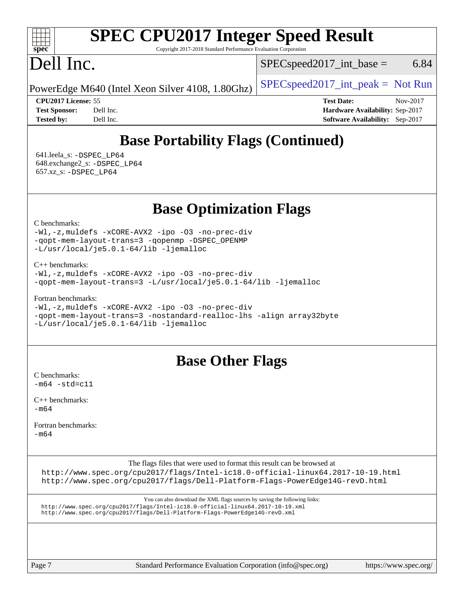#### $+\ +$ **[spec](http://www.spec.org/)**

# **[SPEC CPU2017 Integer Speed Result](http://www.spec.org/auto/cpu2017/Docs/result-fields.html#SPECCPU2017IntegerSpeedResult)**

Copyright 2017-2018 Standard Performance Evaluation Corporation

# Dell Inc.

 $SPEC speed2017\_int\_base =$  6.84

PowerEdge M640 (Intel Xeon Silver 4108,  $1.80Ghz$ )  $\left|$  [SPECspeed2017\\_int\\_peak =](http://www.spec.org/auto/cpu2017/Docs/result-fields.html#SPECspeed2017intpeak) Not Run

**[CPU2017 License:](http://www.spec.org/auto/cpu2017/Docs/result-fields.html#CPU2017License)** 55 **[Test Date:](http://www.spec.org/auto/cpu2017/Docs/result-fields.html#TestDate)** Nov-2017 **[Test Sponsor:](http://www.spec.org/auto/cpu2017/Docs/result-fields.html#TestSponsor)** Dell Inc. **[Hardware Availability:](http://www.spec.org/auto/cpu2017/Docs/result-fields.html#HardwareAvailability)** Sep-2017 **[Tested by:](http://www.spec.org/auto/cpu2017/Docs/result-fields.html#Testedby)** Dell Inc. **[Software Availability:](http://www.spec.org/auto/cpu2017/Docs/result-fields.html#SoftwareAvailability)** Sep-2017

## **[Base Portability Flags \(Continued\)](http://www.spec.org/auto/cpu2017/Docs/result-fields.html#BasePortabilityFlags)**

 641.leela\_s: [-DSPEC\\_LP64](http://www.spec.org/cpu2017/results/res2018q1/cpu2017-20180205-03288.flags.html#suite_basePORTABILITY641_leela_s_DSPEC_LP64) 648.exchange2\_s: [-DSPEC\\_LP64](http://www.spec.org/cpu2017/results/res2018q1/cpu2017-20180205-03288.flags.html#suite_basePORTABILITY648_exchange2_s_DSPEC_LP64) 657.xz\_s: [-DSPEC\\_LP64](http://www.spec.org/cpu2017/results/res2018q1/cpu2017-20180205-03288.flags.html#suite_basePORTABILITY657_xz_s_DSPEC_LP64)

**[Base Optimization Flags](http://www.spec.org/auto/cpu2017/Docs/result-fields.html#BaseOptimizationFlags)**

[C benchmarks](http://www.spec.org/auto/cpu2017/Docs/result-fields.html#Cbenchmarks):

[-Wl,-z,muldefs](http://www.spec.org/cpu2017/results/res2018q1/cpu2017-20180205-03288.flags.html#user_CCbase_link_force_multiple1_b4cbdb97b34bdee9ceefcfe54f4c8ea74255f0b02a4b23e853cdb0e18eb4525ac79b5a88067c842dd0ee6996c24547a27a4b99331201badda8798ef8a743f577) [-xCORE-AVX2](http://www.spec.org/cpu2017/results/res2018q1/cpu2017-20180205-03288.flags.html#user_CCbase_f-xCORE-AVX2) [-ipo](http://www.spec.org/cpu2017/results/res2018q1/cpu2017-20180205-03288.flags.html#user_CCbase_f-ipo) [-O3](http://www.spec.org/cpu2017/results/res2018q1/cpu2017-20180205-03288.flags.html#user_CCbase_f-O3) [-no-prec-div](http://www.spec.org/cpu2017/results/res2018q1/cpu2017-20180205-03288.flags.html#user_CCbase_f-no-prec-div) [-qopt-mem-layout-trans=3](http://www.spec.org/cpu2017/results/res2018q1/cpu2017-20180205-03288.flags.html#user_CCbase_f-qopt-mem-layout-trans_de80db37974c74b1f0e20d883f0b675c88c3b01e9d123adea9b28688d64333345fb62bc4a798493513fdb68f60282f9a726aa07f478b2f7113531aecce732043) [-qopenmp](http://www.spec.org/cpu2017/results/res2018q1/cpu2017-20180205-03288.flags.html#user_CCbase_qopenmp_16be0c44f24f464004c6784a7acb94aca937f053568ce72f94b139a11c7c168634a55f6653758ddd83bcf7b8463e8028bb0b48b77bcddc6b78d5d95bb1df2967) [-DSPEC\\_OPENMP](http://www.spec.org/cpu2017/results/res2018q1/cpu2017-20180205-03288.flags.html#suite_CCbase_DSPEC_OPENMP) [-L/usr/local/je5.0.1-64/lib](http://www.spec.org/cpu2017/results/res2018q1/cpu2017-20180205-03288.flags.html#user_CCbase_jemalloc_link_path64_4b10a636b7bce113509b17f3bd0d6226c5fb2346b9178c2d0232c14f04ab830f976640479e5c33dc2bcbbdad86ecfb6634cbbd4418746f06f368b512fced5394) [-ljemalloc](http://www.spec.org/cpu2017/results/res2018q1/cpu2017-20180205-03288.flags.html#user_CCbase_jemalloc_link_lib_d1249b907c500fa1c0672f44f562e3d0f79738ae9e3c4a9c376d49f265a04b9c99b167ecedbf6711b3085be911c67ff61f150a17b3472be731631ba4d0471706)

[C++ benchmarks:](http://www.spec.org/auto/cpu2017/Docs/result-fields.html#CXXbenchmarks)

```
-Wl,-z,muldefs -xCORE-AVX2 -ipo -O3 -no-prec-div
-qopt-mem-layout-trans=3 -L/usr/local/je5.0.1-64/lib -ljemalloc
```
[Fortran benchmarks](http://www.spec.org/auto/cpu2017/Docs/result-fields.html#Fortranbenchmarks):

```
-Wl,-z,muldefs -xCORE-AVX2 -ipo -O3 -no-prec-div
-qopt-mem-layout-trans=3 -nostandard-realloc-lhs -align array32byte
-L/usr/local/je5.0.1-64/lib -ljemalloc
```
### **[Base Other Flags](http://www.spec.org/auto/cpu2017/Docs/result-fields.html#BaseOtherFlags)**

[C benchmarks](http://www.spec.org/auto/cpu2017/Docs/result-fields.html#Cbenchmarks):  $-m64 - std = c11$  $-m64 - std = c11$ 

[C++ benchmarks:](http://www.spec.org/auto/cpu2017/Docs/result-fields.html#CXXbenchmarks)  $-m64$ 

[Fortran benchmarks](http://www.spec.org/auto/cpu2017/Docs/result-fields.html#Fortranbenchmarks):

[-m64](http://www.spec.org/cpu2017/results/res2018q1/cpu2017-20180205-03288.flags.html#user_FCbase_intel_intel64_18.0_af43caccfc8ded86e7699f2159af6efc7655f51387b94da716254467f3c01020a5059329e2569e4053f409e7c9202a7efc638f7a6d1ffb3f52dea4a3e31d82ab)

The flags files that were used to format this result can be browsed at

<http://www.spec.org/cpu2017/flags/Intel-ic18.0-official-linux64.2017-10-19.html> <http://www.spec.org/cpu2017/flags/Dell-Platform-Flags-PowerEdge14G-revD.html>

You can also download the XML flags sources by saving the following links: <http://www.spec.org/cpu2017/flags/Intel-ic18.0-official-linux64.2017-10-19.xml> <http://www.spec.org/cpu2017/flags/Dell-Platform-Flags-PowerEdge14G-revD.xml>